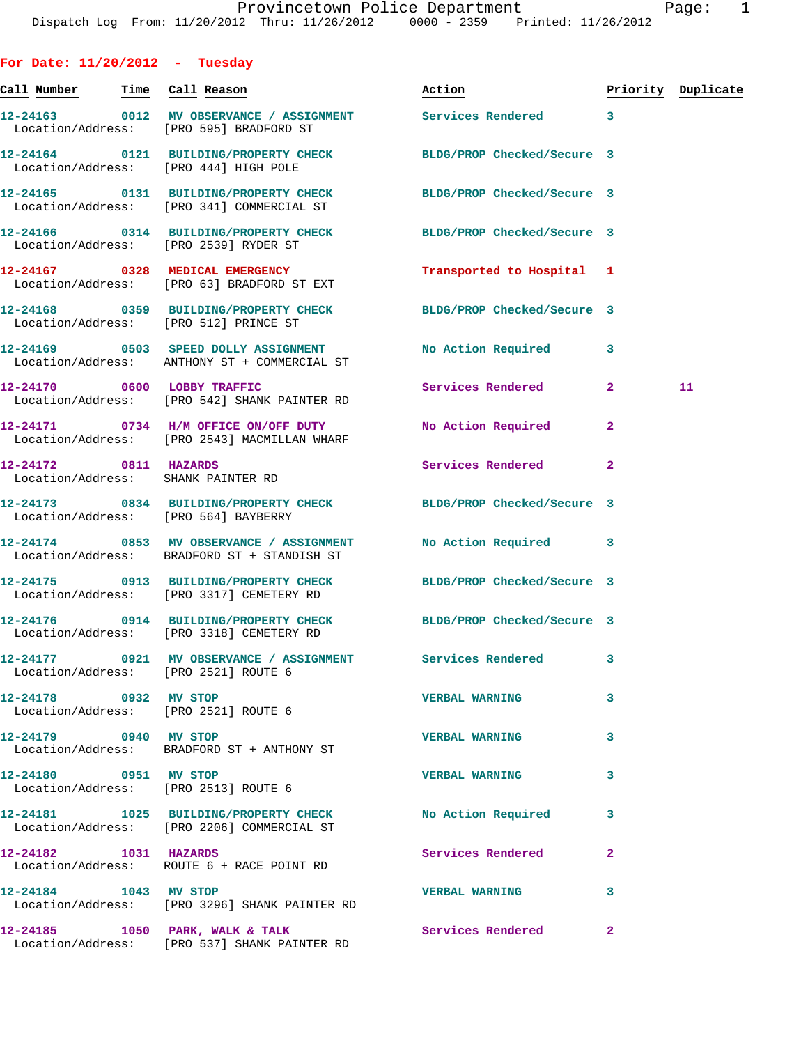**For Date: 11/20/2012 - Tuesday Call Number Time Call Reason Action Priority Duplicate 12-24163 0012 MV OBSERVANCE / ASSIGNMENT Services Rendered 3**  Location/Address: [PRO 595] BRADFORD ST **12-24164 0121 BUILDING/PROPERTY CHECK BLDG/PROP Checked/Secure 3**  Location/Address: [PRO 444] HIGH POLE **12-24165 0131 BUILDING/PROPERTY CHECK BLDG/PROP Checked/Secure 3**  Location/Address: [PRO 341] COMMERCIAL ST **12-24166 0314 BUILDING/PROPERTY CHECK BLDG/PROP Checked/Secure 3**  Location/Address: [PRO 2539] RYDER ST **12-24167 0328 MEDICAL EMERGENCY Transported to Hospital 1**  Location/Address: [PRO 63] BRADFORD ST EXT **12-24168 0359 BUILDING/PROPERTY CHECK BLDG/PROP Checked/Secure 3**  Location/Address: [PRO 512] PRINCE ST **12-24169 0503 SPEED DOLLY ASSIGNMENT No Action Required 3**  Location/Address: ANTHONY ST + COMMERCIAL ST **12-24170 0600 LOBBY TRAFFIC Services Rendered 2 11**  Location/Address: [PRO 542] SHANK PAINTER RD **12-24171 0734 H/M OFFICE ON/OFF DUTY No Action Required 2**  Location/Address: [PRO 2543] MACMILLAN WHARF **12-24172 0811 HAZARDS Services Rendered 2**  Location/Address: SHANK PAINTER RD **12-24173 0834 BUILDING/PROPERTY CHECK BLDG/PROP Checked/Secure 3**  Location/Address: [PRO 564] BAYBERRY **12-24174 0853 MV OBSERVANCE / ASSIGNMENT No Action Required 3**  Location/Address: BRADFORD ST + STANDISH ST **12-24175 0913 BUILDING/PROPERTY CHECK BLDG/PROP Checked/Secure 3**  Location/Address: [PRO 3317] CEMETERY RD **12-24176 0914 BUILDING/PROPERTY CHECK BLDG/PROP Checked/Secure 3**  Location/Address: [PRO 3318] CEMETERY RD **12-24177 0921 MV OBSERVANCE / ASSIGNMENT Services Rendered 3**  Location/Address: [PRO 2521] ROUTE 6 **12-24178 0932 MV STOP VERBAL WARNING 3**  Location/Address: [PRO 2521] ROUTE 6 **12-24179 0940 MV STOP VERBAL WARNING 3**  Location/Address: BRADFORD ST + ANTHONY ST **12-24180 0951 MV STOP VERBAL WARNING 3**  Location/Address: [PRO 2513] ROUTE 6 **12-24181 1025 BUILDING/PROPERTY CHECK No Action Required 3**  Location/Address: [PRO 2206] COMMERCIAL ST **12-24182 1031 HAZARDS Services Rendered 2**  Location/Address: ROUTE 6 + RACE POINT RD **12-24184 1043 MV STOP VERBAL WARNING 3** 

Location/Address: [PRO 3296] SHANK PAINTER RD

Location/Address: [PRO 537] SHANK PAINTER RD

**12-24185 1050 PARK, WALK & TALK Services Rendered 2**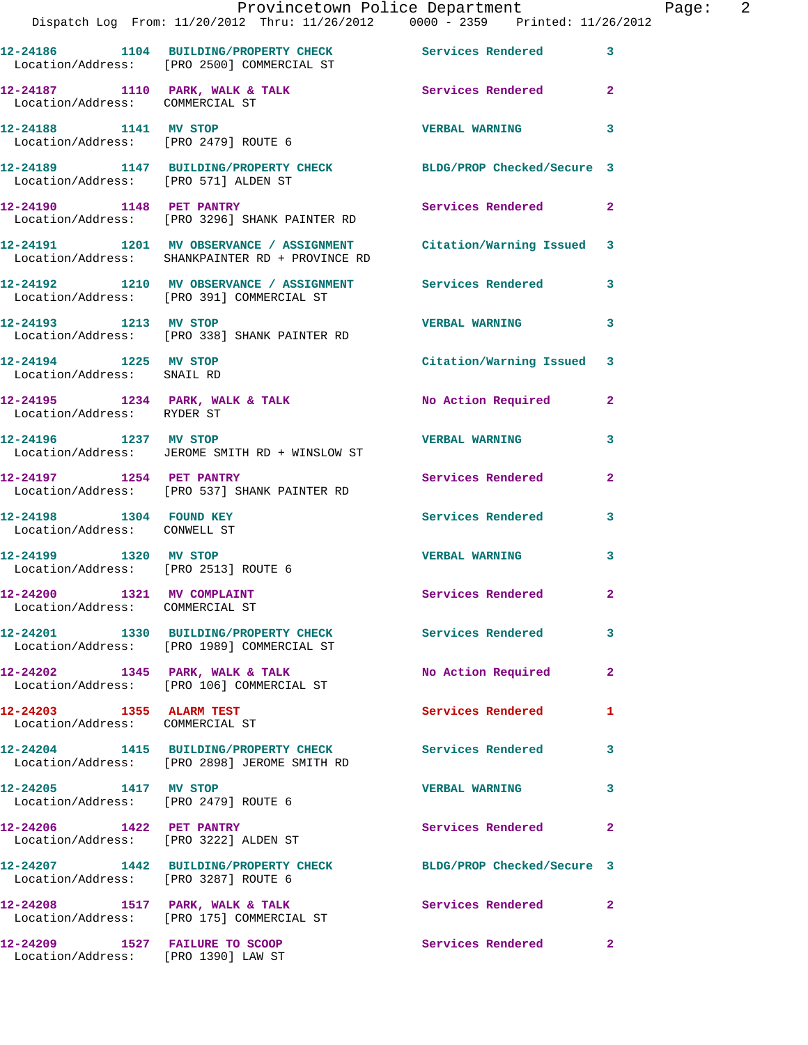|                                                               | Dispatch Log From: 11/20/2012 Thru: 11/26/2012 0000 - 2359 Printed: 11/26/2012                                        | Provincetown Police Department Page: 2 |                |  |
|---------------------------------------------------------------|-----------------------------------------------------------------------------------------------------------------------|----------------------------------------|----------------|--|
|                                                               | 12-24186 1104 BUILDING/PROPERTY CHECK Services Rendered 3<br>Location/Address: [PRO 2500] COMMERCIAL ST               |                                        |                |  |
| Location/Address: COMMERCIAL ST                               | 12-24187 1110 PARK, WALK & TALK 1999 Services Rendered                                                                |                                        | $\mathbf{2}$   |  |
|                                                               | 12-24188 1141 MV STOP<br>Location/Address: [PRO 2479] ROUTE 6                                                         | <b>VERBAL WARNING</b>                  | 3              |  |
|                                                               | 12-24189 1147 BUILDING/PROPERTY CHECK BLDG/PROP Checked/Secure 3<br>Location/Address: [PRO 571] ALDEN ST              |                                        |                |  |
|                                                               | 12-24190 1148 PET PANTRY<br>Location/Address: [PRO 3296] SHANK PAINTER RD                                             | Services Rendered 2                    |                |  |
|                                                               | 12-24191 1201 MV OBSERVANCE / ASSIGNMENT Citation/Warning Issued 3<br>Location/Address: SHANKPAINTER RD + PROVINCE RD |                                        |                |  |
|                                                               | 12-24192 1210 MV OBSERVANCE / ASSIGNMENT Services Rendered 3<br>Location/Address: [PRO 391] COMMERCIAL ST             |                                        |                |  |
|                                                               | 12-24193 1213 MV STOP<br>Location/Address: [PRO 338] SHANK PAINTER RD                                                 | <b>VERBAL WARNING</b>                  | 3              |  |
| Location/Address: SNAIL RD                                    | 12-24194 1225 MV STOP                                                                                                 | Citation/Warning Issued 3              |                |  |
| Location/Address: RYDER ST                                    | 12-24195 1234 PARK, WALK & TALK No Action Required 2                                                                  |                                        |                |  |
| 12-24196 1237 MV STOP                                         | Location/Address: JEROME SMITH RD + WINSLOW ST                                                                        | <b>VERBAL WARNING</b>                  | 3              |  |
|                                                               | 12-24197 1254 PET PANTRY<br>Location/Address: [PRO 537] SHANK PAINTER RD                                              | Services Rendered                      | $\overline{2}$ |  |
| 12-24198 1304 FOUND KEY<br>Location/Address: CONWELL ST       |                                                                                                                       | Services Rendered 3                    |                |  |
| 12-24199 1320 MV STOP<br>Location/Address: [PRO 2513] ROUTE 6 |                                                                                                                       | <b>VERBAL WARNING</b>                  | 3              |  |
| 12-24200 1321 MV COMPLAINT<br>Location/Address: COMMERCIAL ST |                                                                                                                       | Services Rendered                      |                |  |
|                                                               | 12-24201 1330 BUILDING/PROPERTY CHECK Services Rendered<br>Location/Address: [PRO 1989] COMMERCIAL ST                 |                                        | 3              |  |
|                                                               | $12-24202$ 1345 PARK, WALK & TALK<br>Location/Address: [PRO 106] COMMERCIAL ST                                        | No Action Required                     | $\overline{2}$ |  |
| 12-24203 1355 ALARM TEST<br>Location/Address: COMMERCIAL ST   |                                                                                                                       | <b>Services Rendered</b>               | 1              |  |
|                                                               | 12-24204 1415 BUILDING/PROPERTY CHECK Services Rendered 3<br>Location/Address: [PRO 2898] JEROME SMITH RD             |                                        |                |  |
| 12-24205 1417 MV STOP<br>Location/Address: [PRO 2479] ROUTE 6 |                                                                                                                       | <b>VERBAL WARNING</b>                  | 3              |  |
| 12-24206 1422 PET PANTRY                                      | Location/Address: [PRO 3222] ALDEN ST                                                                                 | Services Rendered                      | $\mathbf{2}$   |  |
| Location/Address: [PRO 3287] ROUTE 6                          | 12-24207 1442 BUILDING/PROPERTY CHECK BLDG/PROP Checked/Secure 3                                                      |                                        |                |  |
|                                                               | 12-24208 1517 PARK, WALK & TALK<br>Location/Address: [PRO 175] COMMERCIAL ST                                          | Services Rendered                      | $\mathbf{2}$   |  |
|                                                               |                                                                                                                       | Services Rendered                      | $\mathbf{2}$   |  |

Location/Address: [PRO 1390] LAW ST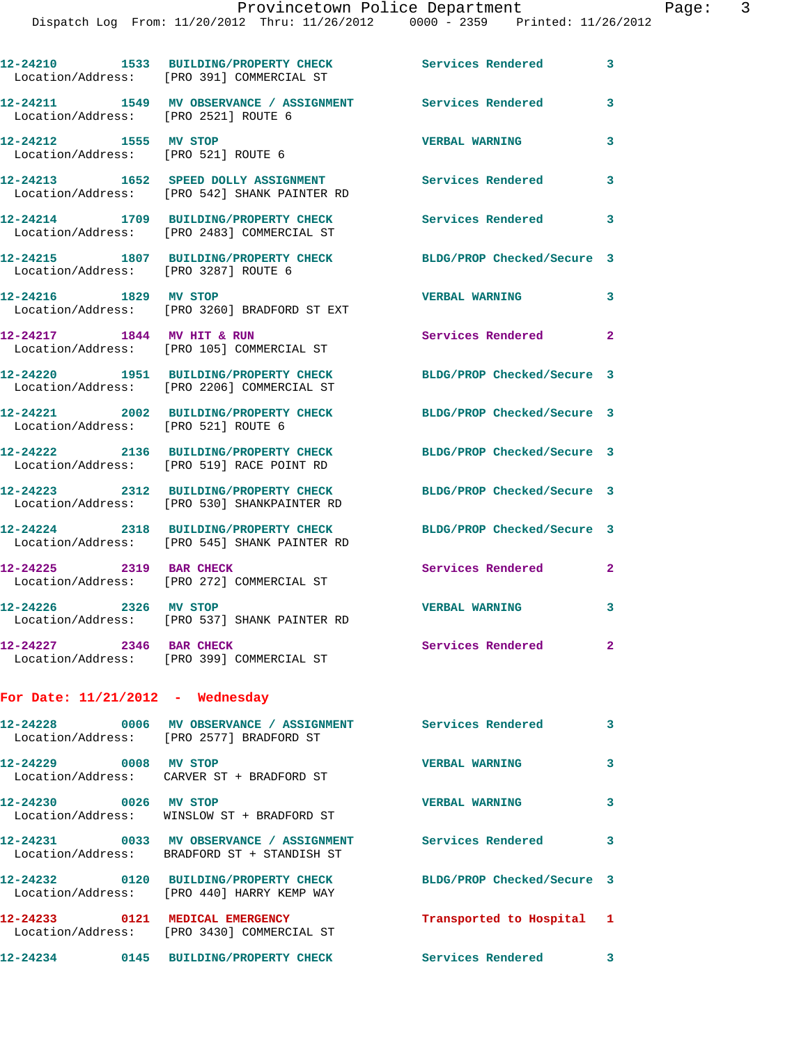|                                      | Dispatch Log From: 11/20/2012 Thru: 11/26/2012 0000 - 2359 Printed: 11/26/2012                            |                            |                |
|--------------------------------------|-----------------------------------------------------------------------------------------------------------|----------------------------|----------------|
|                                      | 12-24210 1533 BUILDING/PROPERTY CHECK<br>Location/Address: [PRO 391] COMMERCIAL ST                        | Services Rendered          | 3              |
| Location/Address: [PRO 2521] ROUTE 6 | 12-24211 1549 MV OBSERVANCE / ASSIGNMENT                                                                  | Services Rendered          | 3              |
| 12-24212 1555 MV STOP                | Location/Address: [PRO 521] ROUTE 6                                                                       | <b>VERBAL WARNING</b>      | 3              |
|                                      | 12-24213 1652 SPEED DOLLY ASSIGNMENT<br>Location/Address: [PRO 542] SHANK PAINTER RD                      | <b>Services Rendered</b>   | 3              |
|                                      | 12-24214 1709 BUILDING/PROPERTY CHECK<br>Location/Address: [PRO 2483] COMMERCIAL ST                       | Services Rendered          | 3              |
| Location/Address: [PRO 3287] ROUTE 6 | 12-24215 1807 BUILDING/PROPERTY CHECK                                                                     | BLDG/PROP Checked/Secure 3 |                |
| 12-24216 1829 MV STOP                | Location/Address: [PRO 3260] BRADFORD ST EXT                                                              | <b>VERBAL WARNING</b>      | 3              |
|                                      | 12-24217 1844 MV HIT & RUN<br>Location/Address: [PRO 105] COMMERCIAL ST                                   | Services Rendered          | $\mathbf{2}$   |
|                                      | 12-24220 1951 BUILDING/PROPERTY CHECK<br>Location/Address: [PRO 2206] COMMERCIAL ST                       | BLDG/PROP Checked/Secure 3 |                |
| Location/Address: [PRO 521] ROUTE 6  | 12-24221 2002 BUILDING/PROPERTY CHECK                                                                     | BLDG/PROP Checked/Secure 3 |                |
|                                      | 12-24222 2136 BUILDING/PROPERTY CHECK<br>Location/Address: [PRO 519] RACE POINT RD                        | BLDG/PROP Checked/Secure 3 |                |
|                                      | 12-24223 2312 BUILDING/PROPERTY CHECK<br>Location/Address: [PRO 530] SHANKPAINTER RD                      | BLDG/PROP Checked/Secure 3 |                |
|                                      | 12-24224 2318 BUILDING/PROPERTY CHECK<br>Location/Address: [PRO 545] SHANK PAINTER RD                     | BLDG/PROP Checked/Secure 3 |                |
| 12-24225 2319 BAR CHECK              | Location/Address: [PRO 272] COMMERCIAL ST                                                                 | Services Rendered          | $\overline{2}$ |
| 12-24226 2326 MV STOP                | Location/Address: [PRO 537] SHANK PAINTER RD                                                              | <b>VERBAL WARNING</b>      | 3              |
| 12-24227 2346 BAR CHECK              | Location/Address: [PRO 399] COMMERCIAL ST                                                                 | <b>Services Rendered</b>   | $\overline{2}$ |
| For Date: $11/21/2012$ - Wednesday   |                                                                                                           |                            |                |
|                                      | 12-24228 0006 MV OBSERVANCE / ASSIGNMENT Services Rendered<br>Location/Address: [PRO 2577] BRADFORD ST    |                            | 3              |
| 12-24229 0008 MV STOP                | Location/Address: CARVER ST + BRADFORD ST                                                                 | <b>VERBAL WARNING</b>      | 3              |
| 12-24230 0026 MV STOP                | Location/Address: WINSLOW ST + BRADFORD ST                                                                | <b>VERBAL WARNING</b>      | 3              |
|                                      | 12-24231 0033 MV OBSERVANCE / ASSIGNMENT Services Rendered<br>Location/Address: BRADFORD ST + STANDISH ST |                            | 3              |
|                                      | 12-24232 0120 BUILDING/PROPERTY CHECK<br>Location/Address: [PRO 440] HARRY KEMP WAY                       | BLDG/PROP Checked/Secure 3 |                |
|                                      | 12-24233 0121 MEDICAL EMERGENCY<br>Location/Address: [PRO 3430] COMMERCIAL ST                             | Transported to Hospital    | 1              |
|                                      | 12-24234 0145 BUILDING/PROPERTY CHECK                                                                     | Services Rendered          | 3              |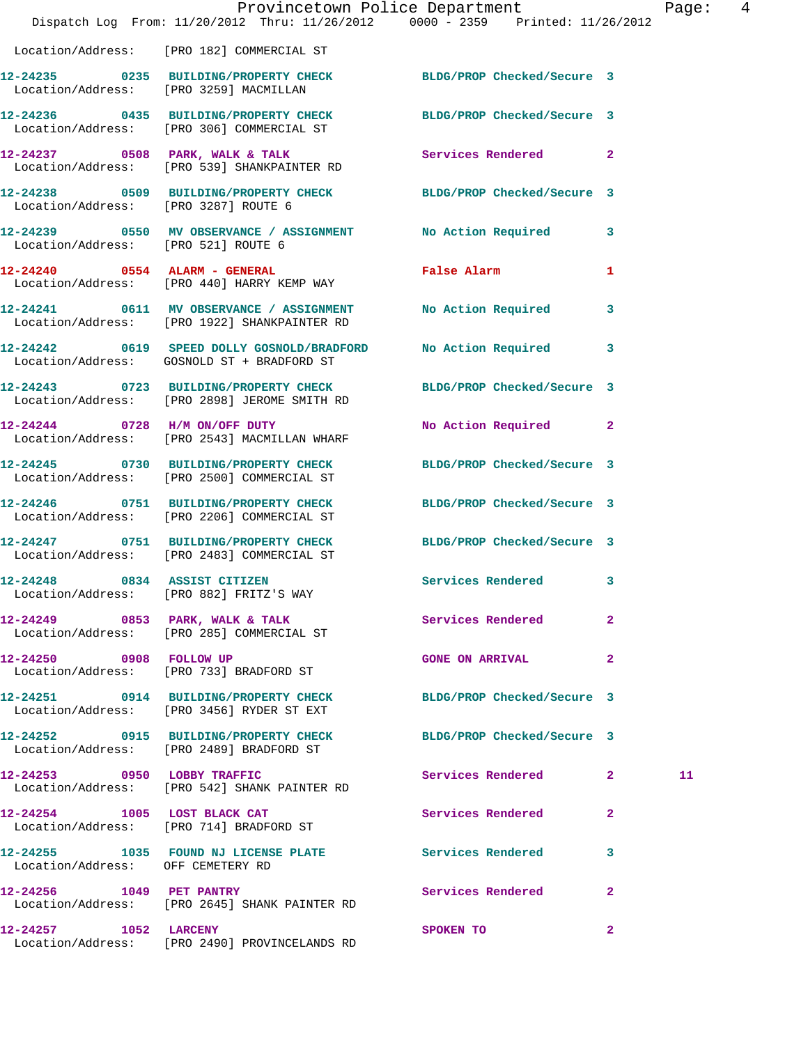|                                      | Provincetown Police Department<br>Dispatch Log From: 11/20/2012 Thru: 11/26/2012 0000 - 2359 Printed: 11/26/2012 |                                 |                | Page: 4 |  |
|--------------------------------------|------------------------------------------------------------------------------------------------------------------|---------------------------------|----------------|---------|--|
|                                      | Location/Address: [PRO 182] COMMERCIAL ST                                                                        |                                 |                |         |  |
|                                      | 12-24235 0235 BUILDING/PROPERTY CHECK BLDG/PROP Checked/Secure 3<br>Location/Address: [PRO 3259] MACMILLAN       |                                 |                |         |  |
|                                      | 12-24236 0435 BUILDING/PROPERTY CHECK BLDG/PROP Checked/Secure 3<br>Location/Address: [PRO 306] COMMERCIAL ST    |                                 |                |         |  |
|                                      | 12-24237 0508 PARK, WALK & TALK 3 Services Rendered 2<br>Location/Address: [PRO 539] SHANKPAINTER RD             |                                 |                |         |  |
| Location/Address: [PRO 3287] ROUTE 6 | 12-24238 0509 BUILDING/PROPERTY CHECK BLDG/PROP Checked/Secure 3                                                 |                                 |                |         |  |
|                                      | 12-24239 0550 MV OBSERVANCE / ASSIGNMENT No Action Required 3<br>Location/Address: [PRO 521] ROUTE 6             |                                 |                |         |  |
|                                      | 12-24240 0554 ALARM - GENERAL<br>Location/Address: [PRO 440] HARRY KEMP WAY                                      | False Alarm <b>Example 2018</b> | 1              |         |  |
|                                      | 12-24241 0611 MV OBSERVANCE / ASSIGNMENT No Action Required<br>Location/Address: [PRO 1922] SHANKPAINTER RD      |                                 | 3              |         |  |
|                                      | 12-24242 0619 SPEED DOLLY GOSNOLD/BRADFORD<br>Location/Address: GOSNOLD ST + BRADFORD ST                         | No Action Required 3            |                |         |  |
|                                      | 12-24243 0723 BUILDING/PROPERTY CHECK BLDG/PROP Checked/Secure 3<br>Location/Address: [PRO 2898] JEROME SMITH RD |                                 |                |         |  |
|                                      | 12-24244 0728 H/M ON/OFF DUTY<br>Location/Address: [PRO 2543] MACMILLAN WHARF                                    | No Action Required 2            |                |         |  |
|                                      | 12-24245 0730 BUILDING/PROPERTY CHECK BLDG/PROP Checked/Secure 3<br>Location/Address: [PRO 2500] COMMERCIAL ST   |                                 |                |         |  |
|                                      | 12-24246 0751 BUILDING/PROPERTY CHECK<br>Location/Address: [PRO 2206] COMMERCIAL ST                              | BLDG/PROP Checked/Secure 3      |                |         |  |
|                                      | 12-24247 0751 BUILDING/PROPERTY CHECK BLDG/PROP Checked/Secure 3<br>Location/Address: [PRO 2483] COMMERCIAL ST   |                                 |                |         |  |
| 12-24248                             | 0834 ASSIST CITIZEN<br>Location/Address: [PRO 882] FRITZ'S WAY                                                   | Services Rendered               | 3              |         |  |
|                                      | 12-24249 0853 PARK, WALK & TALK<br>Location/Address: [PRO 285] COMMERCIAL ST                                     | Services Rendered               | 2              |         |  |
|                                      | 12-24250 0908 FOLLOW UP<br>Location/Address: [PRO 733] BRADFORD ST                                               | <b>GONE ON ARRIVAL</b>          | $\mathbf{2}$   |         |  |
|                                      | 12-24251 0914 BUILDING/PROPERTY CHECK BLDG/PROP Checked/Secure 3<br>Location/Address: [PRO 3456] RYDER ST EXT    |                                 |                |         |  |
|                                      | 12-24252 0915 BUILDING/PROPERTY CHECK BLDG/PROP Checked/Secure 3<br>Location/Address: [PRO 2489] BRADFORD ST     |                                 |                |         |  |
|                                      | 12-24253 0950 LOBBY TRAFFIC<br>Location/Address: [PRO 542] SHANK PAINTER RD                                      | Services Rendered 2             |                | 11      |  |
|                                      | 12-24254 1005 LOST BLACK CAT<br>Location/Address: [PRO 714] BRADFORD ST                                          | Services Rendered               | $\mathbf{2}$   |         |  |
| Location/Address: OFF CEMETERY RD    | 12-24255 1035 FOUND NJ LICENSE PLATE Services Rendered 3                                                         |                                 |                |         |  |
|                                      | 12-24256 1049 PET PANTRY<br>Location/Address: [PRO 2645] SHANK PAINTER RD                                        | Services Rendered               | $\overline{2}$ |         |  |
| 12-24257 1052 LARCENY                | Location/Address: [PRO 2490] PROVINCELANDS RD                                                                    | SPOKEN TO                       | $\mathbf{2}$   |         |  |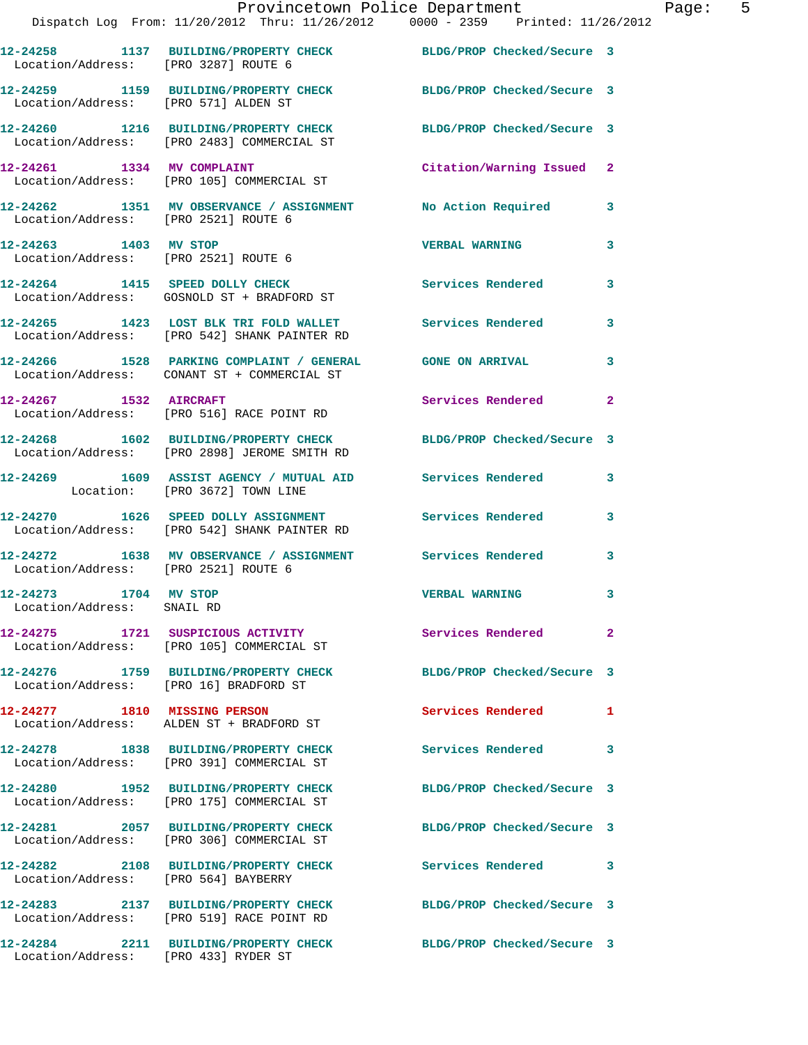|                                                     | Provincetown Police Department The Page: 5<br>Dispatch Log From: 11/20/2012 Thru: 11/26/2012 0000 - 2359 Printed: 11/26/2012 |                            |              |
|-----------------------------------------------------|------------------------------------------------------------------------------------------------------------------------------|----------------------------|--------------|
| Location/Address: [PRO 3287] ROUTE 6                | 12-24258 1137 BUILDING/PROPERTY CHECK BLDG/PROP Checked/Secure 3                                                             |                            |              |
| Location/Address: [PRO 571] ALDEN ST                | 12-24259 1159 BUILDING/PROPERTY CHECK BLDG/PROP Checked/Secure 3                                                             |                            |              |
|                                                     | 12-24260 1216 BUILDING/PROPERTY CHECK BLDG/PROP Checked/Secure 3<br>Location/Address: [PRO 2483] COMMERCIAL ST               |                            |              |
|                                                     | 12-24261 1334 MV COMPLAINT Citation/Warning Issued 2<br>Location/Address: [PRO 105] COMMERCIAL ST                            |                            |              |
| Location/Address: [PRO 2521] ROUTE 6                | 12-24262 1351 MV OBSERVANCE / ASSIGNMENT No Action Required 3                                                                |                            |              |
|                                                     | 12-24263 1403 MV STOP<br>Location/Address: [PRO 2521] ROUTE 6                                                                | <b>VERBAL WARNING</b>      | 3            |
|                                                     | 12-24264 1415 SPEED DOLLY CHECK<br>Location/Address: GOSNOLD ST + BRADFORD ST                                                | Services Rendered 3        |              |
|                                                     | 12-24265 1423 LOST BLK TRI FOLD WALLET Services Rendered<br>Location/Address: [PRO 542] SHANK PAINTER RD                     |                            | 3            |
|                                                     | 12-24266 1528 PARKING COMPLAINT / GENERAL GONE ON ARRIVAL 3<br>Location/Address: CONANT ST + COMMERCIAL ST                   |                            |              |
|                                                     | 12-24267 1532 AIRCRAFT<br>Location/Address: [PRO 516] RACE POINT RD                                                          | Services Rendered          | $\mathbf{2}$ |
|                                                     | 12-24268 1602 BUILDING/PROPERTY CHECK BLDG/PROP Checked/Secure 3<br>Location/Address: [PRO 2898] JEROME SMITH RD             |                            |              |
|                                                     | 12-24269 1609 ASSIST AGENCY / MUTUAL AID Services Rendered<br>Location: [PRO 3672] TOWN LINE                                 |                            | $\mathbf{3}$ |
|                                                     | 12-24270 1626 SPEED DOLLY ASSIGNMENT Services Rendered 3<br>Location/Address: [PRO 542] SHANK PAINTER RD                     |                            |              |
|                                                     | 12-24272 1638 MV OBSERVANCE / ASSIGNMENT Services Rendered 3<br>Location/Address: [PRO 2521] ROUTE 6                         |                            |              |
| 12-24273 1704 MV STOP<br>Location/Address: SNAIL RD |                                                                                                                              | <b>VERBAL WARNING</b>      |              |
|                                                     | 12-24275 1721 SUSPICIOUS ACTIVITY<br>Location/Address: [PRO 105] COMMERCIAL ST                                               | Services Rendered          | $\mathbf{2}$ |
|                                                     | 12-24276 1759 BUILDING/PROPERTY CHECK<br>Location/Address: [PRO 16] BRADFORD ST                                              | BLDG/PROP Checked/Secure 3 |              |
|                                                     | 12-24277 1810 MISSING PERSON<br>Location/Address: ALDEN ST + BRADFORD ST                                                     | Services Rendered          | 1            |
|                                                     | 12-24278 1838 BUILDING/PROPERTY CHECK<br>Location/Address: [PRO 391] COMMERCIAL ST                                           | Services Rendered 3        |              |
|                                                     | 12-24280 1952 BUILDING/PROPERTY CHECK<br>Location/Address: [PRO 175] COMMERCIAL ST                                           | BLDG/PROP Checked/Secure 3 |              |
|                                                     | 12-24281 2057 BUILDING/PROPERTY CHECK<br>Location/Address: [PRO 306] COMMERCIAL ST                                           | BLDG/PROP Checked/Secure 3 |              |
| Location/Address: [PRO 564] BAYBERRY                | 12-24282 2108 BUILDING/PROPERTY CHECK Services Rendered                                                                      |                            | 3            |
|                                                     | 12-24283 2137 BUILDING/PROPERTY CHECK BLDG/PROP Checked/Secure 3<br>Location/Address: [PRO 519] RACE POINT RD                |                            |              |
| Location/Address: [PRO 433] RYDER ST                | 12-24284 2211 BUILDING/PROPERTY CHECK BLDG/PROP Checked/Secure 3                                                             |                            |              |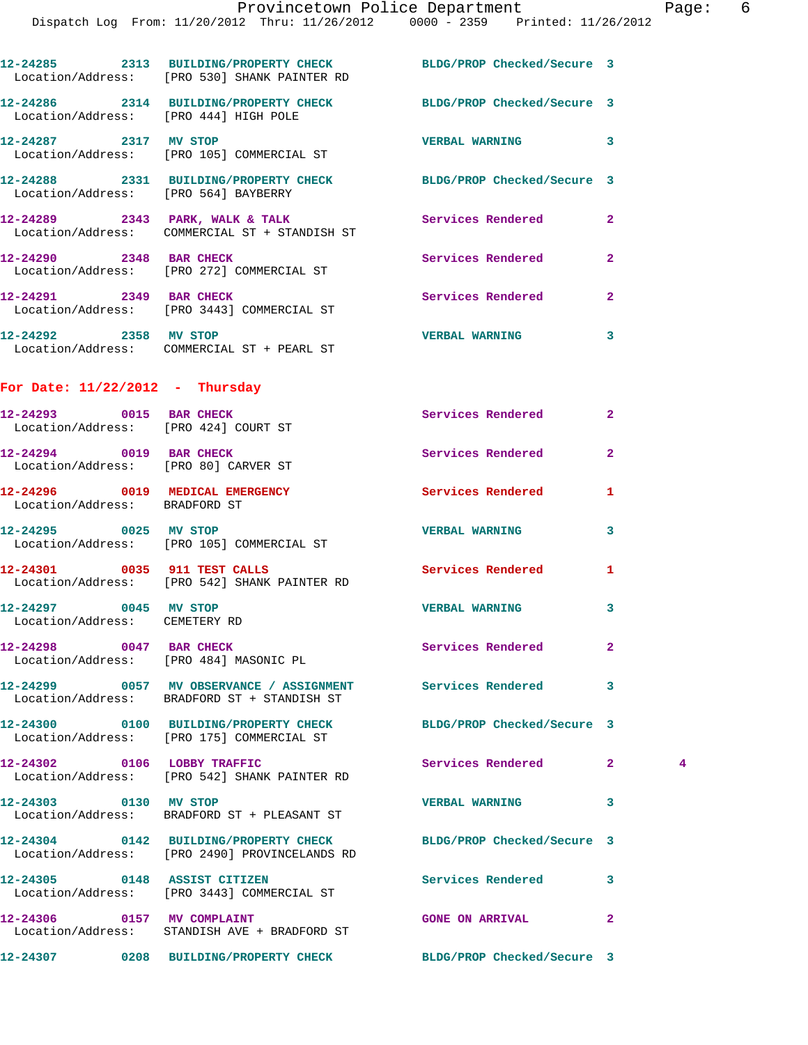|                                                                 | 12-24285 2313 BUILDING/PROPERTY CHECK BLDG/PROP Checked/Secure 3<br>Location/Address: [PRO 530] SHANK PAINTER RD |                            |                                |  |
|-----------------------------------------------------------------|------------------------------------------------------------------------------------------------------------------|----------------------------|--------------------------------|--|
| Location/Address: [PRO 444] HIGH POLE                           | 12-24286 2314 BUILDING/PROPERTY CHECK BLDG/PROP Checked/Secure 3                                                 |                            |                                |  |
| 12-24287 2317 MV STOP                                           | Location/Address: [PRO 105] COMMERCIAL ST                                                                        | <b>VERBAL WARNING</b>      | 3                              |  |
| Location/Address: [PRO 564] BAYBERRY                            | 12-24288 2331 BUILDING/PROPERTY CHECK BLDG/PROP Checked/Secure 3                                                 |                            |                                |  |
|                                                                 | $12-24289$ 2343 PARK, WALK & TALK<br>Location/Address: COMMERCIAL ST + STANDISH ST                               | <b>Services Rendered</b>   | $\overline{2}$                 |  |
| 12-24290 2348 BAR CHECK                                         | Location/Address: [PRO 272] COMMERCIAL ST                                                                        | Services Rendered          | $\overline{2}$                 |  |
|                                                                 | 12-24291 2349 BAR CHECK<br>Location/Address: [PRO 3443] COMMERCIAL ST                                            | <b>Services Rendered</b>   | $\overline{2}$                 |  |
| 12-24292 2358 MV STOP                                           | Location/Address: COMMERCIAL ST + PEARL ST                                                                       | <b>VERBAL WARNING</b>      | 3                              |  |
| For Date: $11/22/2012$ - Thursday                               |                                                                                                                  |                            |                                |  |
| 12-24293 0015 BAR CHECK<br>Location/Address: [PRO 424] COURT ST |                                                                                                                  | Services Rendered          | $\overline{2}$                 |  |
| 12-24294 0019 BAR CHECK<br>Location/Address: [PRO 80] CARVER ST |                                                                                                                  | <b>Services Rendered</b>   | $\mathbf{2}$                   |  |
| Location/Address: BRADFORD ST                                   | 12-24296 0019 MEDICAL EMERGENCY                                                                                  | Services Rendered          | 1                              |  |
|                                                                 | 12-24295 0025 MV STOP<br>Location/Address: [PRO 105] COMMERCIAL ST                                               | <b>VERBAL WARNING</b>      | 3                              |  |
|                                                                 | 12-24301 0035 911 TEST CALLS<br>Location/Address: [PRO 542] SHANK PAINTER RD                                     | Services Rendered          | 1                              |  |
| 12-24297 0045 MV STOP<br>Location/Address: CEMETERY RD          |                                                                                                                  | <b>VERBAL WARNING</b>      | 3                              |  |
| 12-24298 0047 BAR CHECK                                         | Location/Address: [PRO 484] MASONIC PL                                                                           | Services Rendered          | 2                              |  |
|                                                                 | 12-24299 0057 MV OBSERVANCE / ASSIGNMENT Services Rendered<br>Location/Address: BRADFORD ST + STANDISH ST        |                            | 3                              |  |
|                                                                 | 12-24300 0100 BUILDING/PROPERTY CHECK BLDG/PROP Checked/Secure 3<br>Location/Address: [PRO 175] COMMERCIAL ST    |                            |                                |  |
|                                                                 | 12-24302 0106 LOBBY TRAFFIC<br>Location/Address: [PRO 542] SHANK PAINTER RD                                      | <b>Services Rendered</b>   | $\mathbf{2}$<br>$\overline{4}$ |  |
| 12-24303 0130 MV STOP                                           | Location/Address: BRADFORD ST + PLEASANT ST                                                                      | <b>VERBAL WARNING</b>      | 3                              |  |
|                                                                 | 12-24304 0142 BUILDING/PROPERTY CHECK<br>Location/Address: [PRO 2490] PROVINCELANDS RD                           | BLDG/PROP Checked/Secure 3 |                                |  |
| 12-24305 0148 ASSIST CITIZEN                                    | Location/Address: [PRO 3443] COMMERCIAL ST                                                                       | Services Rendered          | 3                              |  |
|                                                                 | 12-24306 0157 MV COMPLAINT<br>Location/Address: STANDISH AVE + BRADFORD ST                                       | <b>GONE ON ARRIVAL</b>     | 2                              |  |
|                                                                 | 12-24307 0208 BUILDING/PROPERTY CHECK BLDG/PROP Checked/Secure 3                                                 |                            |                                |  |
|                                                                 |                                                                                                                  |                            |                                |  |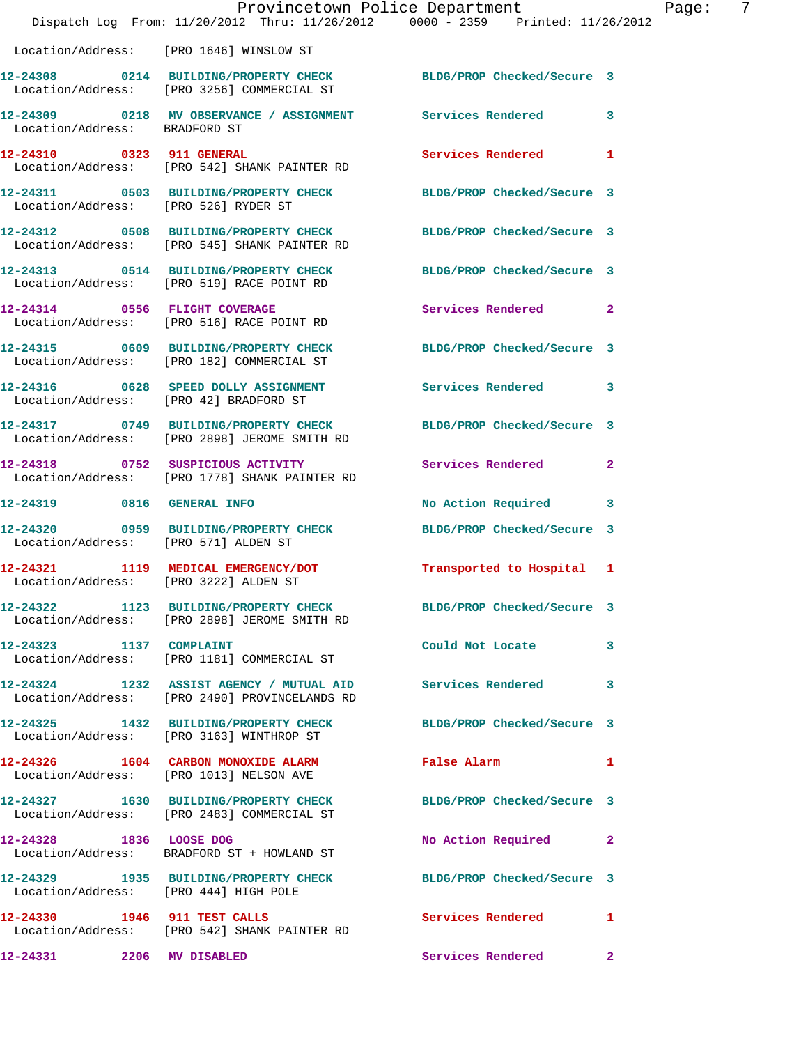|                                        | Provincetown Police Department<br>Dispatch Log From: 11/20/2012 Thru: 11/26/2012 0000 - 2359 Printed: 11/26/2012 |                            |              |
|----------------------------------------|------------------------------------------------------------------------------------------------------------------|----------------------------|--------------|
|                                        | Location/Address: [PRO 1646] WINSLOW ST                                                                          |                            |              |
|                                        | 12-24308 0214 BUILDING/PROPERTY CHECK BLDG/PROP Checked/Secure 3<br>Location/Address: [PRO 3256] COMMERCIAL ST   |                            |              |
| Location/Address: BRADFORD ST          | 12-24309 0218 MV OBSERVANCE / ASSIGNMENT Services Rendered                                                       |                            | 3            |
| 12-24310 0323 911 GENERAL              | Location/Address: [PRO 542] SHANK PAINTER RD                                                                     | <b>Services Rendered</b>   | 1            |
| Location/Address: [PRO 526] RYDER ST   | 12-24311 0503 BUILDING/PROPERTY CHECK BLDG/PROP Checked/Secure 3                                                 |                            |              |
|                                        | 12-24312 0508 BUILDING/PROPERTY CHECK BLDG/PROP Checked/Secure 3<br>Location/Address: [PRO 545] SHANK PAINTER RD |                            |              |
|                                        | 12-24313 0514 BUILDING/PROPERTY CHECK BLDG/PROP Checked/Secure 3<br>Location/Address: [PRO 519] RACE POINT RD    |                            |              |
|                                        | 12-24314 0556 FLIGHT COVERAGE<br>Location/Address: [PRO 516] RACE POINT RD                                       | Services Rendered          | $\mathbf{2}$ |
|                                        | 12-24315 0609 BUILDING/PROPERTY CHECK<br>Location/Address: [PRO 182] COMMERCIAL ST                               | BLDG/PROP Checked/Secure 3 |              |
| Location/Address: [PRO 42] BRADFORD ST | 12-24316 0628 SPEED DOLLY ASSIGNMENT                                                                             | Services Rendered          | 3            |
|                                        | 12-24317 0749 BUILDING/PROPERTY CHECK<br>Location/Address: [PRO 2898] JEROME SMITH RD                            | BLDG/PROP Checked/Secure 3 |              |
|                                        | 12-24318 0752 SUSPICIOUS ACTIVITY<br>Location/Address: [PRO 1778] SHANK PAINTER RD                               | Services Rendered          | $\mathbf{2}$ |
|                                        | 12-24319 0816 GENERAL INFO                                                                                       | No Action Required         | 3            |
| Location/Address: [PRO 571] ALDEN ST   | 12-24320 0959 BUILDING/PROPERTY CHECK                                                                            | BLDG/PROP Checked/Secure 3 |              |
|                                        | 12-24321 1119 MEDICAL EMERGENCY/DOT Transported to Hospital 1<br>Location/Address: [PRO 3222] ALDEN ST           |                            |              |
|                                        | 12-24322 1123 BUILDING/PROPERTY CHECK BLDG/PROP Checked/Secure 3<br>Location/Address: [PRO 2898] JEROME SMITH RD |                            |              |
| 12-24323 1137 COMPLAINT                | Location/Address: [PRO 1181] COMMERCIAL ST                                                                       | Could Not Locate           | 3            |
|                                        | 12-24324 1232 ASSIST AGENCY / MUTUAL AID Services Rendered<br>Location/Address: [PRO 2490] PROVINCELANDS RD      |                            | 3            |
|                                        | 12-24325 1432 BUILDING/PROPERTY CHECK<br>Location/Address: [PRO 3163] WINTHROP ST                                | BLDG/PROP Checked/Secure 3 |              |
|                                        | 12-24326 1604 CARBON MONOXIDE ALARM<br>Location/Address: [PRO 1013] NELSON AVE                                   | False Alarm                | 1            |
|                                        | 12-24327 1630 BUILDING/PROPERTY CHECK BLDG/PROP Checked/Secure 3<br>Location/Address: [PRO 2483] COMMERCIAL ST   |                            |              |
| 12-24328 1836 LOOSE DOG                | Location/Address: BRADFORD ST + HOWLAND ST                                                                       | No Action Required         | $\mathbf{2}$ |
| Location/Address: [PRO 444] HIGH POLE  | 12-24329 1935 BUILDING/PROPERTY CHECK BLDG/PROP Checked/Secure 3                                                 |                            |              |
| 12-24330 1946 911 TEST CALLS           | Location/Address: [PRO 542] SHANK PAINTER RD                                                                     | Services Rendered          | 1            |
| 12-24331 2206 MV DISABLED              |                                                                                                                  | Services Rendered          | $\mathbf{2}$ |

Page: 7<br>2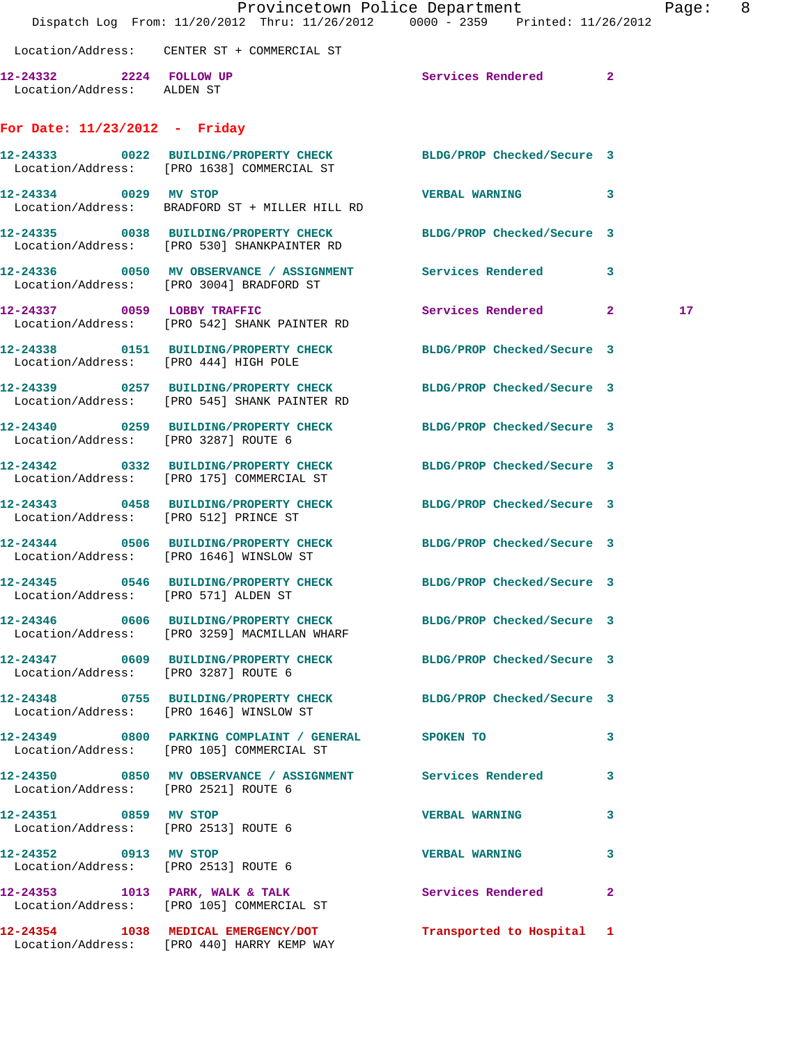|                                                       | Dispatch Log From: 11/20/2012 Thru: 11/26/2012 0000 - 2359 Printed: 11/26/2012                                   | Provincetown Police Department |   | Page: 8 |  |
|-------------------------------------------------------|------------------------------------------------------------------------------------------------------------------|--------------------------------|---|---------|--|
|                                                       | Location/Address: CENTER ST + COMMERCIAL ST                                                                      |                                |   |         |  |
| 12-24332 2224 FOLLOW UP<br>Location/Address: ALDEN ST |                                                                                                                  | Services Rendered 2            |   |         |  |
| For Date: $11/23/2012$ - Friday                       |                                                                                                                  |                                |   |         |  |
|                                                       | 12-24333 0022 BUILDING/PROPERTY CHECK BLDG/PROP Checked/Secure 3<br>Location/Address: [PRO 1638] COMMERCIAL ST   |                                |   |         |  |
| 12-24334 0029 MV STOP                                 | Location/Address: BRADFORD ST + MILLER HILL RD                                                                   | VERBAL WARNING 3               |   |         |  |
|                                                       | 12-24335 0038 BUILDING/PROPERTY CHECK BLDG/PROP Checked/Secure 3<br>Location/Address: [PRO 530] SHANKPAINTER RD  |                                |   |         |  |
|                                                       | 12-24336 0050 MV OBSERVANCE / ASSIGNMENT Services Rendered 3<br>Location/Address: [PRO 3004] BRADFORD ST         |                                |   |         |  |
| 12-24337 0059 LOBBY TRAFFIC                           | Location/Address: [PRO 542] SHANK PAINTER RD                                                                     | Services Rendered 2            |   | 17      |  |
| Location/Address: [PRO 444] HIGH POLE                 | 12-24338 0151 BUILDING/PROPERTY CHECK BLDG/PROP Checked/Secure 3                                                 |                                |   |         |  |
|                                                       | 12-24339 0257 BUILDING/PROPERTY CHECK BLDG/PROP Checked/Secure 3<br>Location/Address: [PRO 545] SHANK PAINTER RD |                                |   |         |  |
| Location/Address: [PRO 3287] ROUTE 6                  | 12-24340 0259 BUILDING/PROPERTY CHECK BLDG/PROP Checked/Secure 3                                                 |                                |   |         |  |
|                                                       | 12-24342 0332 BUILDING/PROPERTY CHECK<br>Location/Address: [PRO 175] COMMERCIAL ST                               | BLDG/PROP Checked/Secure 3     |   |         |  |
| Location/Address: [PRO 512] PRINCE ST                 | 12-24343 0458 BUILDING/PROPERTY CHECK BLDG/PROP Checked/Secure 3                                                 |                                |   |         |  |
|                                                       | 12-24344 0506 BUILDING/PROPERTY CHECK<br>Location/Address: [PRO 1646] WINSLOW ST                                 | BLDG/PROP Checked/Secure 3     |   |         |  |
| Location/Address: [PRO 571] ALDEN ST                  | 12-24345 0546 BUILDING/PROPERTY CHECK BLDG/PROP Checked/Secure 3                                                 |                                |   |         |  |
|                                                       | 12-24346 0606 BUILDING/PROPERTY CHECK BLDG/PROP Checked/Secure 3<br>Location/Address: [PRO 3259] MACMILLAN WHARF |                                |   |         |  |
| Location/Address: [PRO 3287] ROUTE 6                  | 12-24347 0609 BUILDING/PROPERTY CHECK BLDG/PROP Checked/Secure 3                                                 |                                |   |         |  |
|                                                       | 12-24348 0755 BUILDING/PROPERTY CHECK BLDG/PROP Checked/Secure 3<br>Location/Address: [PRO 1646] WINSLOW ST      |                                |   |         |  |
|                                                       | 12-24349 0800 PARKING COMPLAINT / GENERAL SPOKEN TO<br>Location/Address: [PRO 105] COMMERCIAL ST                 |                                | 3 |         |  |
| Location/Address: [PRO 2521] ROUTE 6                  | 12-24350 0850 MV OBSERVANCE / ASSIGNMENT Services Rendered 3                                                     |                                |   |         |  |
| 12-24351 0859 MV STOP                                 | Location/Address: [PRO 2513] ROUTE 6                                                                             | VERBAL WARNING 3               |   |         |  |
| Location/Address: [PRO 2513] ROUTE 6                  | 12-24352 0913 MV STOP                                                                                            | VERBAL WARNING 3               |   |         |  |
|                                                       | 12-24353 1013 PARK, WALK & TALK 3 Services Rendered 2<br>Location/Address: [PRO 105] COMMERCIAL ST               |                                |   |         |  |
|                                                       | 12-24354 1038 MEDICAL EMERGENCY/DOT Transported to Hospital 1<br>Location/Address: [PRO 440] HARRY KEMP WAY      |                                |   |         |  |
|                                                       |                                                                                                                  |                                |   |         |  |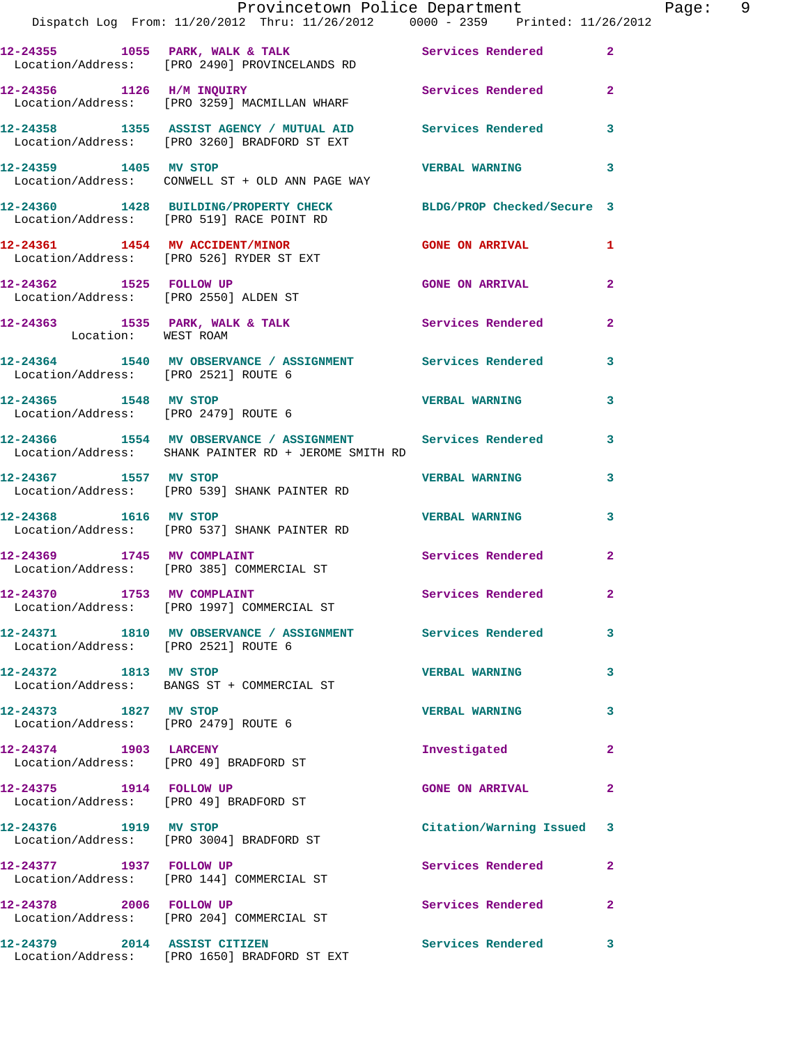|                                                                   | Provincetown Police Department<br>Dispatch Log From: 11/20/2012 Thru: 11/26/2012 0000 - 2359 Printed: 11/26/2012     |                                       |                         | Page: 9 |  |
|-------------------------------------------------------------------|----------------------------------------------------------------------------------------------------------------------|---------------------------------------|-------------------------|---------|--|
|                                                                   | 12-24355 1055 PARK, WALK & TALK Services Rendered 2<br>Location/Address: [PRO 2490] PROVINCELANDS RD                 |                                       |                         |         |  |
|                                                                   | 12-24356 1126 H/M INQUIRY Services Rendered 2<br>Location/Address: [PRO 3259] MACMILLAN WHARF                        |                                       |                         |         |  |
|                                                                   | 12-24358 1355 ASSIST AGENCY / MUTUAL AID Services Rendered 3<br>Location/Address: [PRO 3260] BRADFORD ST EXT         |                                       |                         |         |  |
| 12-24359 1405 MV STOP                                             | Location/Address: CONWELL ST + OLD ANN PAGE WAY                                                                      | <b>VERBAL WARNING</b>                 | 3                       |         |  |
|                                                                   | 12-24360 1428 BUILDING/PROPERTY CHECK BLDG/PROP Checked/Secure 3<br>Location/Address: [PRO 519] RACE POINT RD        |                                       |                         |         |  |
|                                                                   | 12-24361 1454 MV ACCIDENT/MINOR GONE ON ARRIVAL 1<br>Location/Address: [PRO 526] RYDER ST EXT                        |                                       |                         |         |  |
|                                                                   | 12-24362 1525 FOLLOW UP<br>Location/Address: [PRO 2550] ALDEN ST                                                     | <b>GONE ON ARRIVAL</b> 2              |                         |         |  |
| Location: WEST ROAM                                               | 12-24363 1535 PARK, WALK & TALK 1988 Services Rendered                                                               |                                       | $\overline{2}$          |         |  |
| Location/Address: [PRO 2521] ROUTE 6                              | 12-24364 1540 MV OBSERVANCE / ASSIGNMENT Services Rendered 3                                                         |                                       |                         |         |  |
| Location/Address: [PRO 2479] ROUTE 6                              | 12-24365 1548 MV STOP                                                                                                | <b>VERBAL WARNING</b>                 | 3                       |         |  |
|                                                                   | 12-24366 1554 MV OBSERVANCE / ASSIGNMENT Services Rendered 3<br>Location/Address: SHANK PAINTER RD + JEROME SMITH RD |                                       |                         |         |  |
|                                                                   | 12-24367 1557 MV STOP<br>Location/Address: [PRO 539] SHANK PAINTER RD                                                | <b>VERBAL WARNING</b>                 | 3                       |         |  |
| 12-24368 1616 MV STOP                                             | Location/Address: [PRO 537] SHANK PAINTER RD                                                                         | <b>VERBAL WARNING</b>                 | 3                       |         |  |
|                                                                   | 12-24369 1745 MV COMPLAINT<br>Location/Address: [PRO 385] COMMERCIAL ST                                              | Services Rendered 2                   |                         |         |  |
| 12-24370 1753 MV COMPLAINT                                        | Location/Address: [PRO 1997] COMMERCIAL ST                                                                           | <b>Example 2018</b> Services Rendered |                         |         |  |
| Location/Address: [PRO 2521] ROUTE 6                              | 12-24371 1810 MV OBSERVANCE / ASSIGNMENT Services Rendered                                                           |                                       | $\mathbf{3}$            |         |  |
| 12-24372 1813 MV STOP                                             | Location/Address: BANGS ST + COMMERCIAL ST                                                                           | <b>VERBAL WARNING</b>                 | 3                       |         |  |
| 12-24373 1827 MV STOP<br>Location/Address: [PRO 2479] ROUTE 6     |                                                                                                                      | <b>VERBAL WARNING</b>                 | 3                       |         |  |
| 12-24374 1903 LARCENY<br>Location/Address: [PRO 49] BRADFORD ST   |                                                                                                                      | Investigated                          | $\mathbf{2}$            |         |  |
| 12-24375 1914 FOLLOW UP<br>Location/Address: [PRO 49] BRADFORD ST |                                                                                                                      | <b>GONE ON ARRIVAL</b>                | $\mathbf{2}$            |         |  |
| 12-24376 1919 MV STOP                                             | Location/Address: [PRO 3004] BRADFORD ST                                                                             | Citation/Warning Issued 3             |                         |         |  |
| 12-24377 1937 FOLLOW UP                                           | Location/Address: [PRO 144] COMMERCIAL ST                                                                            | Services Rendered                     | $\mathbf{2}$            |         |  |
| 12-24378 2006 FOLLOW UP                                           | Location/Address: [PRO 204] COMMERCIAL ST                                                                            | Services Rendered                     | $\mathbf{2}$            |         |  |
|                                                                   | 12-24379 2014 ASSIST CITIZEN<br>Location/Address: [PRO 1650] BRADFORD ST EXT                                         | Services Rendered                     | $\overline{\mathbf{3}}$ |         |  |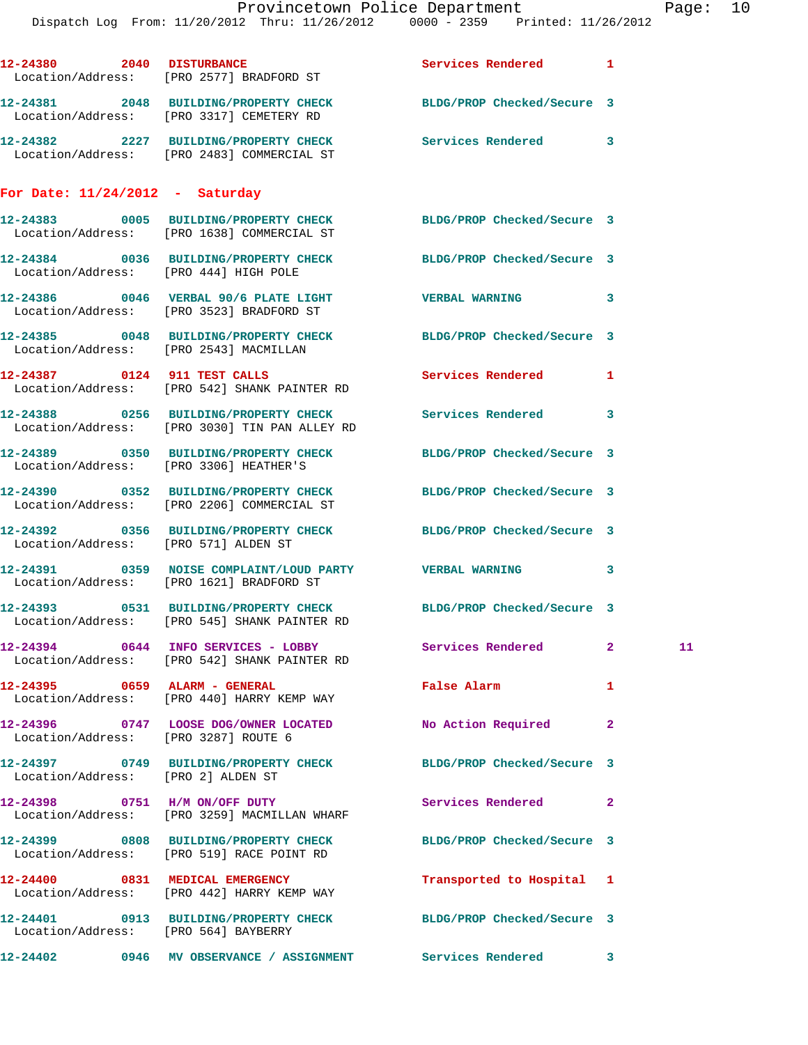|                                   | 12-24380 2040 DISTURBANCE<br>Location/Address: [PRO 2577] BRADFORD ST                                      | Services Rendered 1        |              |    |
|-----------------------------------|------------------------------------------------------------------------------------------------------------|----------------------------|--------------|----|
|                                   | 12-24381 2048 BUILDING/PROPERTY CHECK<br>Location/Address: [PRO 3317] CEMETERY RD                          | BLDG/PROP Checked/Secure 3 |              |    |
|                                   | 12-24382 2227 BUILDING/PROPERTY CHECK<br>Location/Address: [PRO 2483] COMMERCIAL ST                        | Services Rendered 3        |              |    |
| For Date: $11/24/2012$ - Saturday |                                                                                                            |                            |              |    |
|                                   | 12-24383 0005 BUILDING/PROPERTY CHECK<br>Location/Address: [PRO 1638] COMMERCIAL ST                        | BLDG/PROP Checked/Secure 3 |              |    |
|                                   | 12-24384 0036 BUILDING/PROPERTY CHECK<br>Location/Address: [PRO 444] HIGH POLE                             | BLDG/PROP Checked/Secure 3 |              |    |
|                                   | $12-24386$ 0046 VERBAL 90/6 PLATE LIGHT<br>Location/Address: [PRO 3523] BRADFORD ST                        | <b>VERBAL WARNING</b>      | 3            |    |
|                                   | 12-24385 0048 BUILDING/PROPERTY CHECK BLDG/PROP Checked/Secure 3<br>Location/Address: [PRO 2543] MACMILLAN |                            |              |    |
|                                   | 12-24387 0124 911 TEST CALLS<br>Location/Address: [PRO 542] SHANK PAINTER RD                               | Services Rendered          | 1            |    |
|                                   | 12-24388 0256 BUILDING/PROPERTY CHECK<br>Location/Address: [PRO 3030] TIN PAN ALLEY RD                     | Services Rendered 3        |              |    |
|                                   | 12-24389 0350 BUILDING/PROPERTY CHECK<br>Location/Address: [PRO 3306] HEATHER'S                            | BLDG/PROP Checked/Secure 3 |              |    |
|                                   | 12-24390 0352 BUILDING/PROPERTY CHECK<br>Location/Address: [PRO 2206] COMMERCIAL ST                        | BLDG/PROP Checked/Secure 3 |              |    |
|                                   | 12-24392 0356 BUILDING/PROPERTY CHECK BLDG/PROP Checked/Secure 3<br>Location/Address: [PRO 571] ALDEN ST   |                            |              |    |
|                                   | 12-24391 0359 NOISE COMPLAINT/LOUD PARTY VERBAL WARNING<br>Location/Address: [PRO 1621] BRADFORD ST        |                            | 3            |    |
|                                   | 12-24393 0531 BUILDING/PROPERTY CHECK<br>Location/Address: [PRO 545] SHANK PAINTER RD                      | BLDG/PROP Checked/Secure 3 |              |    |
|                                   | 12-24394 0644 INFO SERVICES - LOBBY Services Rendered 2<br>Location/Address: [PRO 542] SHANK PAINTER RD    |                            |              | 11 |
|                                   | 12-24395 0659 ALARM - GENERAL<br>Location/Address: [PRO 440] HARRY KEMP WAY                                | False Alarm                | 1            |    |
|                                   | 12-24396 0747 LOOSE DOG/OWNER LOCATED No Action Required<br>Location/Address: [PRO 3287] ROUTE 6           |                            | $\mathbf{2}$ |    |
|                                   | 12-24397 0749 BUILDING/PROPERTY CHECK BLDG/PROP Checked/Secure 3<br>Location/Address: [PRO 2] ALDEN ST     |                            |              |    |
|                                   | 12-24398 0751 H/M ON/OFF DUTY<br>Location/Address: [PRO 3259] MACMILLAN WHARF                              | Services Rendered          | 2            |    |
|                                   | 12-24399 0808 BUILDING/PROPERTY CHECK<br>Location/Address: [PRO 519] RACE POINT RD                         | BLDG/PROP Checked/Secure 3 |              |    |
|                                   | 12-24400 0831 MEDICAL EMERGENCY<br>Location/Address: [PRO 442] HARRY KEMP WAY                              | Transported to Hospital 1  |              |    |
|                                   | 12-24401 0913 BUILDING/PROPERTY CHECK BLDG/PROP Checked/Secure 3<br>Location/Address: [PRO 564] BAYBERRY   |                            |              |    |
|                                   | 12-24402 0946 MV OBSERVANCE / ASSIGNMENT Services Rendered 3                                               |                            |              |    |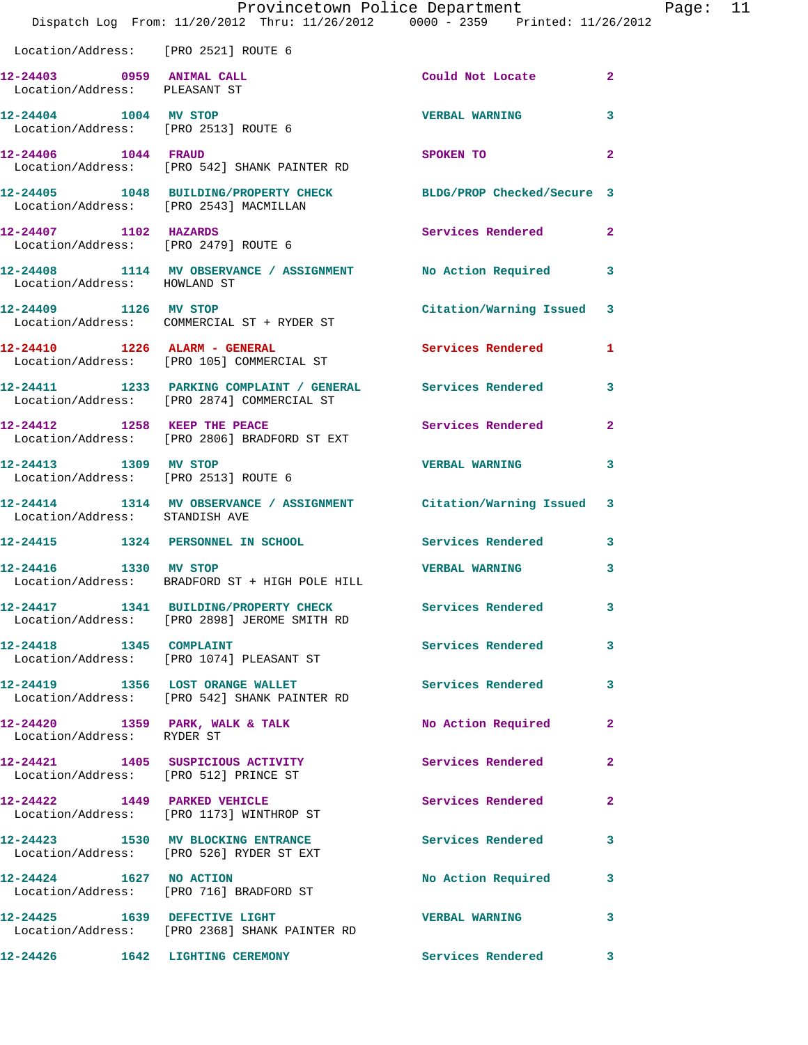|                                                               | Dispatch Log From: 11/20/2012 Thru: 11/26/2012 0000 - 2359 Printed: 11/26/2012                            | Provincetown Police Department                                                                                                                                                                                                 |                | Page: 11 |  |
|---------------------------------------------------------------|-----------------------------------------------------------------------------------------------------------|--------------------------------------------------------------------------------------------------------------------------------------------------------------------------------------------------------------------------------|----------------|----------|--|
| Location/Address: [PRO 2521] ROUTE 6                          |                                                                                                           |                                                                                                                                                                                                                                |                |          |  |
| 12-24403 0959 ANIMAL CALL<br>Location/Address: PLEASANT ST    |                                                                                                           | Could Not Locate 2                                                                                                                                                                                                             |                |          |  |
| 12-24404 1004 MV STOP<br>Location/Address: [PRO 2513] ROUTE 6 |                                                                                                           | <b>VERBAL WARNING</b>                                                                                                                                                                                                          | 3              |          |  |
| 12-24406 1044 FRAUD                                           | Location/Address: [PRO 542] SHANK PAINTER RD                                                              | SPOKEN TO AND TO A RESIDENCE OF A RESIDENCE OF A RESIDENCE OF A RESIDENCE OF A RESIDENCE OF A RESIDENCE OF A RESIDENCE OF A RESIDENCE OF A RESIDENCE OF A RESIDENCE OF A RESIDENCE OF A RESIDENCE OF A RESIDENCE OF A RESIDENC | $\overline{2}$ |          |  |
| Location/Address: [PRO 2543] MACMILLAN                        | 12-24405 1048 BUILDING/PROPERTY CHECK BLDG/PROP Checked/Secure 3                                          |                                                                                                                                                                                                                                |                |          |  |
|                                                               | 12-24407 1102 HAZARDS<br>Location/Address: [PRO 2479] ROUTE 6                                             | Services Rendered 2                                                                                                                                                                                                            |                |          |  |
| Location/Address: HOWLAND ST                                  | 12-24408 1114 MV OBSERVANCE / ASSIGNMENT No Action Required 3                                             |                                                                                                                                                                                                                                |                |          |  |
| 12-24409 1126 MV STOP                                         | Location/Address: COMMERCIAL ST + RYDER ST                                                                | Citation/Warning Issued 3                                                                                                                                                                                                      |                |          |  |
|                                                               | 12-24410 1226 ALARM - GENERAL<br>Location/Address: [PRO 105] COMMERCIAL ST                                | Services Rendered 1                                                                                                                                                                                                            |                |          |  |
|                                                               | 12-24411 1233 PARKING COMPLAINT / GENERAL Services Rendered<br>Location/Address: [PRO 2874] COMMERCIAL ST |                                                                                                                                                                                                                                | 3              |          |  |
|                                                               | 12-24412 1258 KEEP THE PEACE<br>Location/Address: [PRO 2806] BRADFORD ST EXT                              | Services Rendered 2                                                                                                                                                                                                            |                |          |  |
| Location/Address: [PRO 2513] ROUTE 6                          | 12-24413 1309 MV STOP                                                                                     | <b>VERBAL WARNING</b>                                                                                                                                                                                                          | 3              |          |  |
| Location/Address: STANDISH AVE                                | 12-24414 1314 MV OBSERVANCE / ASSIGNMENT Citation/Warning Issued 3                                        |                                                                                                                                                                                                                                |                |          |  |
|                                                               | 12-24415 1324 PERSONNEL IN SCHOOL Services Rendered 3                                                     |                                                                                                                                                                                                                                |                |          |  |
|                                                               | 12-24416 1330 MV STOP<br>Location/Address: BRADFORD ST + HIGH POLE HILL                                   | <b>VERBAL WARNING</b>                                                                                                                                                                                                          | 3              |          |  |
|                                                               | 12-24417 1341 BUILDING/PROPERTY CHECK Services Rendered 3<br>Location/Address: [PRO 2898] JEROME SMITH RD |                                                                                                                                                                                                                                |                |          |  |
|                                                               | 12-24418 1345 COMPLAINT<br>Location/Address: [PRO 1074] PLEASANT ST                                       | Services Rendered 3                                                                                                                                                                                                            |                |          |  |
|                                                               | 12-24419 1356 LOST ORANGE WALLET Services Rendered<br>Location/Address: [PRO 542] SHANK PAINTER RD        |                                                                                                                                                                                                                                | 3              |          |  |
| Location/Address: RYDER ST                                    | 12-24420 1359 PARK, WALK & TALK                                                                           | No Action Required                                                                                                                                                                                                             | $\mathbf{2}$   |          |  |
|                                                               | 12-24421 1405 SUSPICIOUS ACTIVITY 1999 Services Rendered<br>Location/Address: [PRO 512] PRINCE ST         |                                                                                                                                                                                                                                | $\mathbf{2}$   |          |  |
|                                                               | 12-24422 1449 PARKED VEHICLE<br>Location/Address: [PRO 1173] WINTHROP ST                                  | Services Rendered                                                                                                                                                                                                              | $\mathbf{2}$   |          |  |
|                                                               | 12-24423 1530 MV BLOCKING ENTRANCE<br>Location/Address: [PRO 526] RYDER ST EXT                            | Services Rendered                                                                                                                                                                                                              | 3              |          |  |
|                                                               | 12-24424 1627 NO ACTION<br>Location/Address: [PRO 716] BRADFORD ST                                        | No Action Required 3                                                                                                                                                                                                           |                |          |  |
|                                                               | 12-24425 1639 DEFECTIVE LIGHT<br>Location/Address: [PRO 2368] SHANK PAINTER RD                            | <b>VERBAL WARNING</b>                                                                                                                                                                                                          | 3              |          |  |
|                                                               | 12-24426 1642 LIGHTING CEREMONY                                                                           | Services Rendered 3                                                                                                                                                                                                            |                |          |  |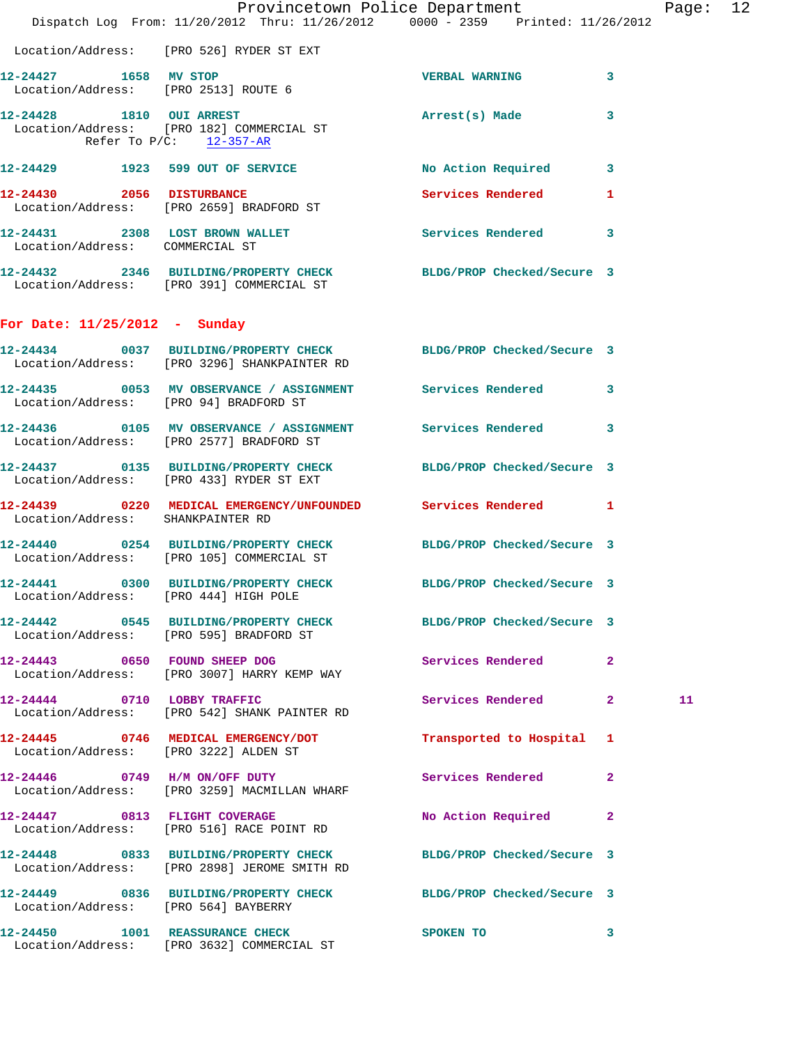|                                        | Provincetown Police Department The Page: 12<br>Dispatch Log From: 11/20/2012 Thru: 11/26/2012 0000 - 2359 Printed: 11/26/2012 |                           |              |    |  |
|----------------------------------------|-------------------------------------------------------------------------------------------------------------------------------|---------------------------|--------------|----|--|
|                                        | Location/Address: [PRO 526] RYDER ST EXT                                                                                      |                           |              |    |  |
| 12-24427 1658 MV STOP                  | Location/Address: [PRO 2513] ROUTE 6                                                                                          | <b>VERBAL WARNING</b>     | 3            |    |  |
| Refer To $P/C$ : 12-357-AR             | 12-24428 1810 OUI ARREST<br>Location/Address: [PRO 182] COMMERCIAL ST                                                         | Arrest(s) Made            | 3            |    |  |
|                                        | 12-24429 1923 599 OUT OF SERVICE                                                                                              | No Action Required 3      |              |    |  |
| 12-24430 2056 DISTURBANCE              | Location/Address: [PRO 2659] BRADFORD ST                                                                                      | Services Rendered         | $\mathbf{1}$ |    |  |
| Location/Address: COMMERCIAL ST        | 12-24431 2308 LOST BROWN WALLET                                                                                               | Services Rendered 3       |              |    |  |
|                                        | 12-24432 2346 BUILDING/PROPERTY CHECK BLDG/PROP Checked/Secure 3<br>Location/Address: [PRO 391] COMMERCIAL ST                 |                           |              |    |  |
| For Date: $11/25/2012$ - Sunday        |                                                                                                                               |                           |              |    |  |
|                                        | 12-24434 0037 BUILDING/PROPERTY CHECK BLDG/PROP Checked/Secure 3<br>Location/Address: [PRO 3296] SHANKPAINTER RD              |                           |              |    |  |
| Location/Address: [PRO 94] BRADFORD ST | 12-24435 0053 MV OBSERVANCE / ASSIGNMENT Services Rendered 3                                                                  |                           |              |    |  |
|                                        | 12-24436  0105 MV OBSERVANCE / ASSIGNMENT Services Rendered<br>Location/Address: [PRO 2577] BRADFORD ST                       |                           | 3            |    |  |
|                                        | 12-24437 0135 BUILDING/PROPERTY CHECK BLDG/PROP Checked/Secure 3<br>Location/Address: [PRO 433] RYDER ST EXT                  |                           |              |    |  |
| Location/Address: SHANKPAINTER RD      | 12-24439 0220 MEDICAL EMERGENCY/UNFOUNDED Services Rendered 1                                                                 |                           |              |    |  |
|                                        | 12-24440 0254 BUILDING/PROPERTY CHECK BLDG/PROP Checked/Secure 3<br>Location/Address: [PRO 105] COMMERCIAL ST                 |                           |              |    |  |
| Location/Address: [PRO 444] HIGH POLE  | 12-24441 0300 BUILDING/PROPERTY CHECK BLDG/PROP Checked/Secure 3                                                              |                           |              |    |  |
|                                        | 12-24442 0545 BUILDING/PROPERTY CHECK BLDG/PROP Checked/Secure 3<br>Location/Address: [PRO 595] BRADFORD ST                   |                           |              |    |  |
|                                        | 12-24443 0650 FOUND SHEEP DOG<br>Location/Address: [PRO 3007] HARRY KEMP WAY                                                  | Services Rendered         | $\mathbf{2}$ |    |  |
|                                        | 12-24444 0710 LOBBY TRAFFIC<br>Location/Address: [PRO 542] SHANK PAINTER RD                                                   | Services Rendered 2       |              | 11 |  |
| Location/Address: [PRO 3222] ALDEN ST  | 12-24445 0746 MEDICAL EMERGENCY/DOT                                                                                           | Transported to Hospital 1 |              |    |  |
|                                        | 12-24446 0749 H/M ON/OFF DUTY<br>Location/Address: [PRO 3259] MACMILLAN WHARF                                                 | Services Rendered         | $\mathbf{2}$ |    |  |
|                                        | 12-24447 0813 FLIGHT COVERAGE<br>Location/Address: [PRO 516] RACE POINT RD                                                    | No Action Required        | 2            |    |  |
|                                        | 12-24448 0833 BUILDING/PROPERTY CHECK BLDG/PROP Checked/Secure 3<br>Location/Address: [PRO 2898] JEROME SMITH RD              |                           |              |    |  |
| Location/Address: [PRO 564] BAYBERRY   | 12-24449 0836 BUILDING/PROPERTY CHECK BLDG/PROP Checked/Secure 3                                                              |                           |              |    |  |
|                                        | 12-24450 1001 REASSURANCE CHECK<br>Location/Address: [PRO 3632] COMMERCIAL ST                                                 | SPOKEN TO                 | 3            |    |  |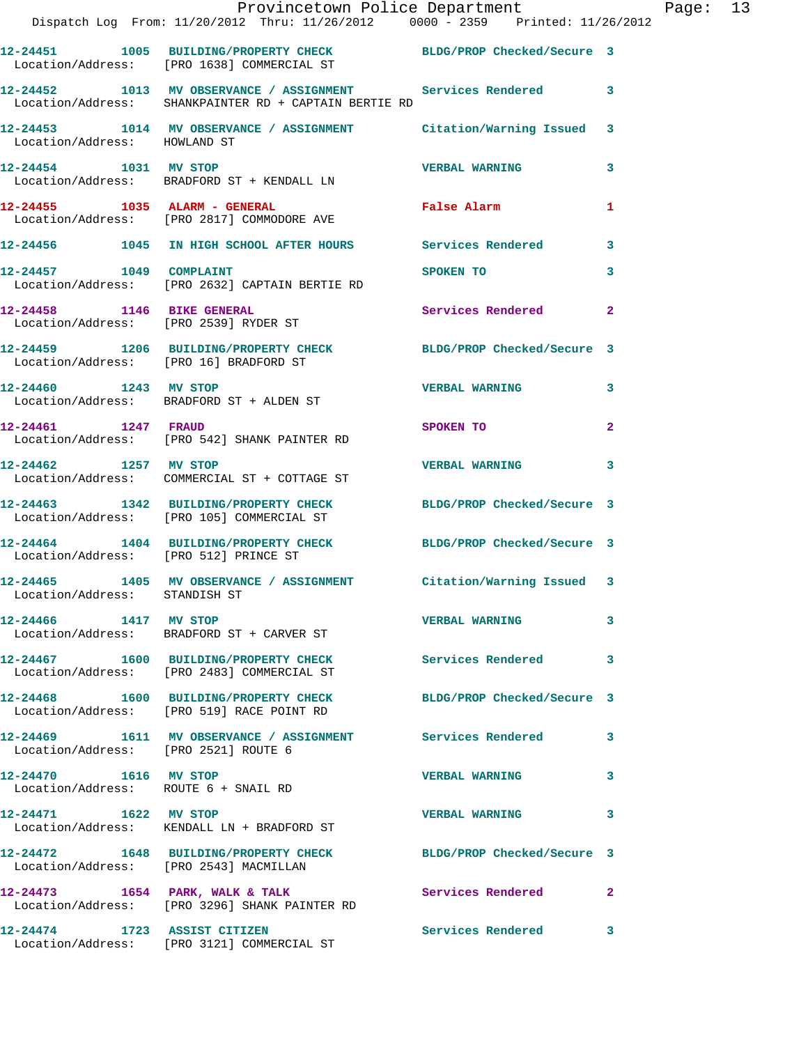|                                                                     | Provincetown Police Department<br>Dispatch Log From: 11/20/2012 Thru: 11/26/2012 0000 - 2359 Printed: 11/26/2012    |                            |                |
|---------------------------------------------------------------------|---------------------------------------------------------------------------------------------------------------------|----------------------------|----------------|
|                                                                     | 12-24451 1005 BUILDING/PROPERTY CHECK BLDG/PROP Checked/Secure 3<br>Location/Address: [PRO 1638] COMMERCIAL ST      |                            |                |
|                                                                     | 12-24452 1013 MV OBSERVANCE / ASSIGNMENT Services Rendered<br>Location/Address: SHANKPAINTER RD + CAPTAIN BERTIE RD |                            | 3              |
| Location/Address: HOWLAND ST                                        | 12-24453 1014 MV OBSERVANCE / ASSIGNMENT Citation/Warning Issued                                                    |                            | 3              |
| 12-24454 1031 MV STOP                                               | Location/Address: BRADFORD ST + KENDALL LN                                                                          | <b>VERBAL WARNING</b>      | 3              |
|                                                                     | 12-24455    1035    ALARM - GENERAL<br>Location/Address: [PRO 2817] COMMODORE AVE                                   | False Alarm                | 1              |
|                                                                     | 12-24456 1045 IN HIGH SCHOOL AFTER HOURS Services Rendered                                                          |                            | 3              |
| 12-24457 1049 COMPLAINT                                             | Location/Address: [PRO 2632] CAPTAIN BERTIE RD                                                                      | SPOKEN TO                  | 3              |
| 12-24458 1146 BIKE GENERAL<br>Location/Address: [PRO 2539] RYDER ST |                                                                                                                     | Services Rendered          | $\mathbf{2}$   |
|                                                                     | 12-24459 1206 BUILDING/PROPERTY CHECK<br>Location/Address: [PRO 16] BRADFORD ST                                     | BLDG/PROP Checked/Secure 3 |                |
| 12-24460 1243 MV STOP                                               | Location/Address: BRADFORD ST + ALDEN ST                                                                            | <b>VERBAL WARNING</b>      | 3              |
| 12-24461 1247 FRAUD                                                 | Location/Address: [PRO 542] SHANK PAINTER RD                                                                        | SPOKEN TO                  | $\overline{a}$ |
| 12-24462 1257 MV STOP                                               | Location/Address: COMMERCIAL ST + COTTAGE ST                                                                        | <b>VERBAL WARNING</b>      | 3              |
|                                                                     | 12-24463 1342 BUILDING/PROPERTY CHECK<br>Location/Address: [PRO 105] COMMERCIAL ST                                  | BLDG/PROP Checked/Secure 3 |                |
| Location/Address: [PRO 512] PRINCE ST                               | 12-24464 1404 BUILDING/PROPERTY CHECK                                                                               | BLDG/PROP Checked/Secure 3 |                |
| Location/Address: STANDISH ST                                       | 12-24465 1405 MV OBSERVANCE / ASSIGNMENT Citation/Warning Issued 3                                                  |                            |                |
| 12-24466 1417 MV STOP                                               | Location/Address: BRADFORD ST + CARVER ST                                                                           | <b>VERBAL WARNING</b>      | 3              |
|                                                                     | 12-24467 1600 BUILDING/PROPERTY CHECK<br>Location/Address: [PRO 2483] COMMERCIAL ST                                 | Services Rendered          | 3              |
|                                                                     | 12-24468 1600 BUILDING/PROPERTY CHECK BLDG/PROP Checked/Secure 3<br>Location/Address: [PRO 519] RACE POINT RD       |                            |                |
| Location/Address: [PRO 2521] ROUTE 6                                | 12-24469 1611 MV OBSERVANCE / ASSIGNMENT Services Rendered                                                          |                            | 3              |
| 12-24470 1616 MV STOP<br>Location/Address: ROUTE 6 + SNAIL RD       |                                                                                                                     | <b>VERBAL WARNING</b>      | 3              |
| 12-24471 1622 MV STOP                                               | Location/Address: KENDALL LN + BRADFORD ST                                                                          | <b>VERBAL WARNING</b>      | 3              |
| Location/Address: [PRO 2543] MACMILLAN                              | 12-24472 1648 BUILDING/PROPERTY CHECK                                                                               | BLDG/PROP Checked/Secure 3 |                |
|                                                                     | 12-24473 1654 PARK, WALK & TALK<br>Location/Address: [PRO 3296] SHANK PAINTER RD                                    | Services Rendered          | $\mathbf{2}$   |
| 12-24474 1723 ASSIST CITIZEN                                        | Location/Address: [PRO 3121] COMMERCIAL ST                                                                          | <b>Services Rendered</b>   | 3              |

Page: 13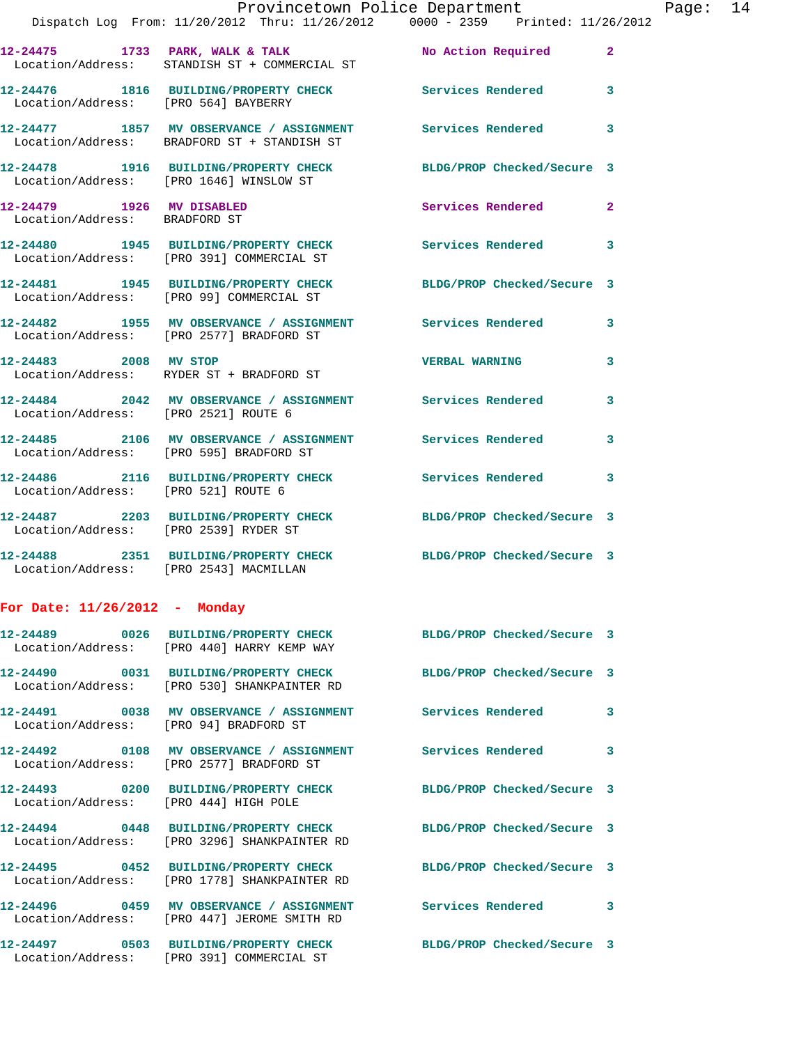|                                                                  | Provincetown Police Department<br>Dispatch Log From: 11/20/2012 Thru: 11/26/2012 0000 - 2359 Printed: 11/26/2012 |                            |              |
|------------------------------------------------------------------|------------------------------------------------------------------------------------------------------------------|----------------------------|--------------|
|                                                                  | 12-24475 1733 PARK, WALK & TALK 12 No Action Required<br>Location/Address: STANDISH ST + COMMERCIAL ST           |                            | $\mathbf{2}$ |
|                                                                  | 12-24476 1816 BUILDING/PROPERTY CHECK Services Rendered<br>Location/Address: [PRO 564] BAYBERRY                  |                            | 3            |
|                                                                  | 12-24477 1857 MV OBSERVANCE / ASSIGNMENT Services Rendered<br>Location/Address: BRADFORD ST + STANDISH ST        |                            | 3            |
| Location/Address: [PRO 1646] WINSLOW ST                          | 12-24478 1916 BUILDING/PROPERTY CHECK BLDG/PROP Checked/Secure 3                                                 |                            |              |
| 12-24479    1926    MV DISABLED<br>Location/Address: BRADFORD ST |                                                                                                                  | Services Rendered          | $\mathbf{2}$ |
|                                                                  | 12-24480 1945 BUILDING/PROPERTY CHECK Services Rendered<br>Location/Address: [PRO 391] COMMERCIAL ST             |                            | 3            |
|                                                                  | 12-24481 1945 BUILDING/PROPERTY CHECK BLDG/PROP Checked/Secure 3<br>Location/Address: [PRO 99] COMMERCIAL ST     |                            |              |
|                                                                  | 12-24482 1955 MV OBSERVANCE / ASSIGNMENT Services Rendered<br>Location/Address: [PRO 2577] BRADFORD ST           |                            | 3            |
|                                                                  | 12-24483 2008 MV STOP<br>Location/Address: RYDER ST + BRADFORD ST                                                | <b>VERBAL WARNING</b>      | 3            |
| Location/Address: [PRO 2521] ROUTE 6                             | 12-24484 2042 MV OBSERVANCE / ASSIGNMENT Services Rendered                                                       |                            | 3            |
|                                                                  | 12-24485 2106 MV OBSERVANCE / ASSIGNMENT Services Rendered<br>Location/Address: [PRO 595] BRADFORD ST            |                            | 3            |
| Location/Address: [PRO 521] ROUTE 6                              | 12-24486 2116 BUILDING/PROPERTY CHECK Services Rendered                                                          |                            | 3            |
| Location/Address: [PRO 2539] RYDER ST                            | 12-24487 2203 BUILDING/PROPERTY CHECK BLDG/PROP Checked/Secure 3                                                 |                            |              |
| Location/Address: [PRO 2543] MACMILLAN                           | 12-24488 2351 BUILDING/PROPERTY CHECK BLDG/PROP Checked/Secure 3                                                 |                            |              |
| For Date: $11/26/2012$ - Monday                                  |                                                                                                                  |                            |              |
|                                                                  | 12-24489 0026 BUILDING/PROPERTY CHECK<br>Location/Address: [PRO 440] HARRY KEMP WAY                              | BLDG/PROP Checked/Secure 3 |              |
|                                                                  | 12-24490 0031 BUILDING/PROPERTY CHECK BLDG/PROP Checked/Secure 3<br>Location/Address: [PRO 530] SHANKPAINTER RD  |                            |              |
| Location/Address: [PRO 94] BRADFORD ST                           | 12-24491 0038 MV OBSERVANCE / ASSIGNMENT Services Rendered                                                       |                            | 3            |
|                                                                  | 12-24492 0108 MV OBSERVANCE / ASSIGNMENT Services Rendered<br>Location/Address: [PRO 2577] BRADFORD ST           |                            | 3            |
| Location/Address: [PRO 444] HIGH POLE                            | 12-24493 0200 BUILDING/PROPERTY CHECK BLDG/PROP Checked/Secure 3                                                 |                            |              |
|                                                                  | 12-24494 0448 BUILDING/PROPERTY CHECK BLDG/PROP Checked/Secure 3<br>Location/Address: [PRO 3296] SHANKPAINTER RD |                            |              |
|                                                                  | 12-24495 0452 BUILDING/PROPERTY CHECK BLDG/PROP Checked/Secure 3<br>Location/Address: [PRO 1778] SHANKPAINTER RD |                            |              |
|                                                                  | 12-24496  0459 MV OBSERVANCE / ASSIGNMENT<br>Location/Address: [PRO 447] JEROME SMITH RD                         | Services Rendered          | 3            |
|                                                                  | 12-24497 0503 BUILDING/PROPERTY CHECK BLDG/PROP Checked/Secure 3                                                 |                            |              |

Location/Address: [PRO 391] COMMERCIAL ST

Page:  $14$ <br> $2^{12}$